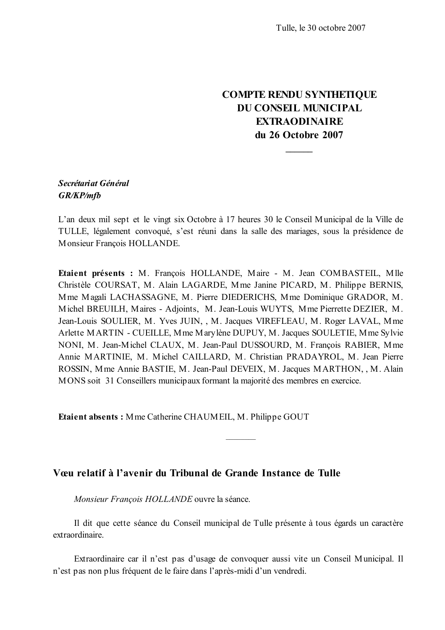## **COMPTE RENDU SYNTHETIQUE** DU CONSEIL MUNICIPAL **EXTRAODINAIRE** du 26 Octobre 2007

## Secrétariat Général **GR/KP/mfb**

L'an deux mil sept et le vingt six Octobre à 17 heures 30 le Conseil Municipal de la Ville de TULLE, légalement convoqué, s'est réuni dans la salle des mariages, sous la présidence de Monsieur François HOLLANDE.

Etaient présents : M. François HOLLANDE, Maire - M. Jean COMBASTEIL, Mlle Christèle COURSAT, M. Alain LAGARDE, Mme Janine PICARD, M. Philippe BERNIS, Mme Magali LACHASSAGNE, M. Pierre DIEDERICHS, Mme Dominique GRADOR, M. Michel BREUILH, Maires - Adjoints, M. Jean-Louis WUYTS, Mme Pierrette DEZIER, M. Jean-Louis SOULIER, M. Yves JUIN, , M. Jacques VIREFLEAU, M. Roger LAVAL, Mme Arlette MARTIN - CUEILLE, Mme Marylène DUPUY, M. Jacques SOULETIE, Mme Sylvie NONI, M. Jean-Michel CLAUX, M. Jean-Paul DUSSOURD, M. François RABIER, Mme Annie MARTINIE, M. Michel CAILLARD, M. Christian PRADAYROL, M. Jean Pierre ROSSIN, Mme Annie BASTIE, M. Jean-Paul DEVEIX, M. Jacques MARTHON, , M. Alain MONS soit 31 Conseillers municipaux formant la majorité des membres en exercice.

Etaient absents: Mme Catherine CHAUMEIL, M. Philippe GOUT

## Vœu relatif à l'avenir du Tribunal de Grande Instance de Tulle

Monsieur François HOLLANDE ouvre la séance.

Il dit que cette séance du Conseil municipal de Tulle présente à tous égards un caractère extraordinaire.

Extraordinaire car il n'est pas d'usage de convoquer aussi vite un Conseil Municipal. Il n'est pas non plus fréquent de le faire dans l'après-midi d'un vendredi.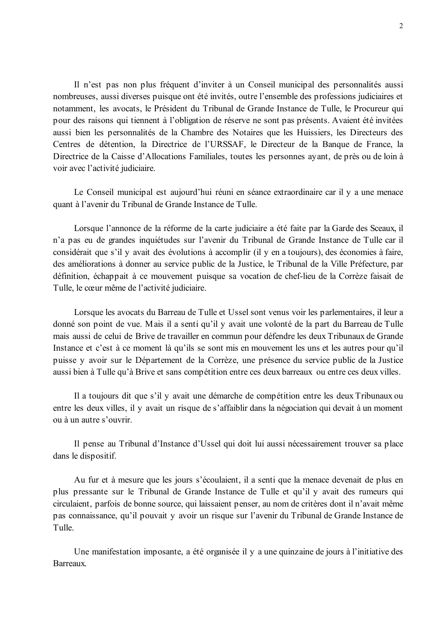Il n'est pas non plus fréquent d'inviter à un Conseil municipal des personnalités aussi nombreuses, aussi diverses puisque ont été invités, outre l'ensemble des professions judiciaires et notamment, les avocats, le Président du Tribunal de Grande Instance de Tulle, le Procureur qui pour des raisons qui tiennent à l'obligation de réserve ne sont pas présents. Avaient été invitées aussi bien les personnalités de la Chambre des Notaires que les Huissiers, les Directeurs des Centres de détention, la Directrice de l'URSSAF, le Directeur de la Banque de France, la Directrice de la Caisse d'Allocations Familiales, toutes les personnes ayant, de près ou de loin à voir avec l'activité judiciaire.

Le Conseil municipal est aujourd'hui réuni en séance extraordinaire car il y a une menace quant à l'avenir du Tribunal de Grande Instance de Tulle.

Lorsque l'annonce de la réforme de la carte judiciaire a été faite par la Garde des Sceaux, il n'a pas eu de grandes inquiétudes sur l'avenir du Tribunal de Grande Instance de Tulle car il considérait que s'il y avait des évolutions à accomplir (il y en a toujours), des économies à faire, des améliorations à donner au service public de la Justice, le Tribunal de la Ville Préfecture, par définition, échappait à ce mouvement puisque sa vocation de chef-lieu de la Corrèze faisait de Tulle, le cœur même de l'activité judiciaire.

Lorsque les avocats du Barreau de Tulle et Ussel sont venus voir les parlementaires, il leur a donné son point de vue. Mais il a senti qu'il y avait une volonté de la part du Barreau de Tulle mais aussi de celui de Brive de travailler en commun pour défendre les deux Tribunaux de Grande Instance et c'est à ce moment là qu'ils se sont mis en mouvement les uns et les autres pour qu'il puisse y avoir sur le Département de la Corrèze, une présence du service public de la Justice aussi bien à Tulle qu'à Brive et sans compétition entre ces deux barreaux ou entre ces deux villes.

Il a toujours dit que s'il y avait une démarche de compétition entre les deux Tribunaux ou entre les deux villes, il y avait un risque de s'affaiblir dans la négociation qui devait à un moment ou à un autre s'ouvrir.

Il pense au Tribunal d'Instance d'Ussel qui doit lui aussi nécessairement trouver sa place dans le dispositif.

Au fur et à mesure que les jours s'écoulaient, il a senti que la menace devenait de plus en plus pressante sur le Tribunal de Grande Instance de Tulle et qu'il y avait des rumeurs qui circulaient, parfois de bonne source, qui laissaient penser, au nom de critères dont il n'avait même pas connaissance, qu'il pouvait y avoir un risque sur l'avenir du Tribunal de Grande Instance de Tulle.

Une manifestation imposante, a été organisée il y a une quinzaine de jours à l'initiative des Barreaux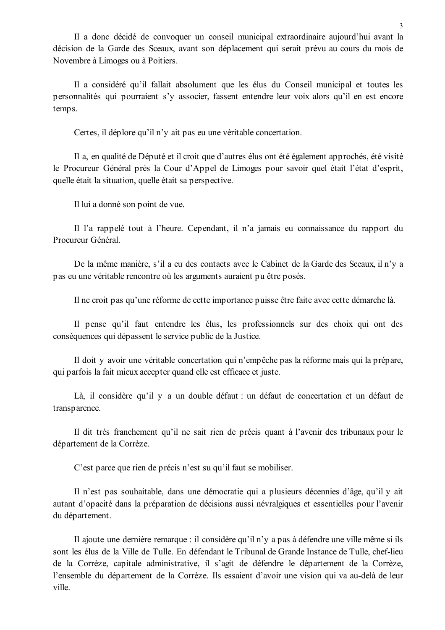Il a donc décidé de convoquer un conseil municipal extraordinaire aujourd'hui avant la décision de la Garde des Sceaux, avant son déplacement qui serait prévu au cours du mois de Novembre à Limoges ou à Poitiers.

Il a considéré qu'il fallait absolument que les élus du Conseil municipal et toutes les personnalités qui pourraient s'y associer, fassent entendre leur voix alors qu'il en est encore temps.

Certes, il déplore qu'il n'y ait pas eu une véritable concertation.

Il a, en qualité de Député et il croit que d'autres élus ont été également approchés, été visité le Procureur Général près la Cour d'Appel de Limoges pour savoir quel était l'état d'esprit. quelle était la situation, quelle était sa perspective.

Il lui a donné son point de vue.

Il l'a rappelé tout à l'heure. Cependant, il n'a jamais eu connaissance du rapport du Procureur Général

De la même manière, s'il a eu des contacts avec le Cabinet de la Garde des Sceaux, il n'y a pas eu une véritable rencontre où les arguments auraient pu être posés.

Il ne croit pas qu'une réforme de cette importance puisse être faite avec cette démarche là.

Il pense qu'il faut entendre les élus, les professionnels sur des choix qui ont des conséquences qui dépassent le service public de la Justice.

Il doit y avoir une véritable concertation qui n'empêche pas la réforme mais qui la prépare, qui parfois la fait mieux accepter quand elle est efficace et juste.

Là, il considère qu'il y a un double défaut : un défaut de concertation et un défaut de transparence.

Il dit très franchement qu'il ne sait rien de précis quant à l'avenir des tribunaux pour le département de la Corrèze.

C'est parce que rien de précis n'est su qu'il faut se mobiliser.

Il n'est pas souhaitable, dans une démocratie qui a plusieurs décennies d'âge, qu'il y ait autant d'opacité dans la préparation de décisions aussi névralgiques et essentielles pour l'avenir du département.

Il ajoute une dernière remarque : il considère qu'il n'y a pas à défendre une ville même si ils sont les élus de la Ville de Tulle. En défendant le Tribunal de Grande Instance de Tulle, chef-lieu de la Corrèze, capitale administrative, il s'agit de défendre le département de la Corrèze, l'ensemble du département de la Corrèze. Ils essaient d'avoir une vision qui va au-delà de leur ville.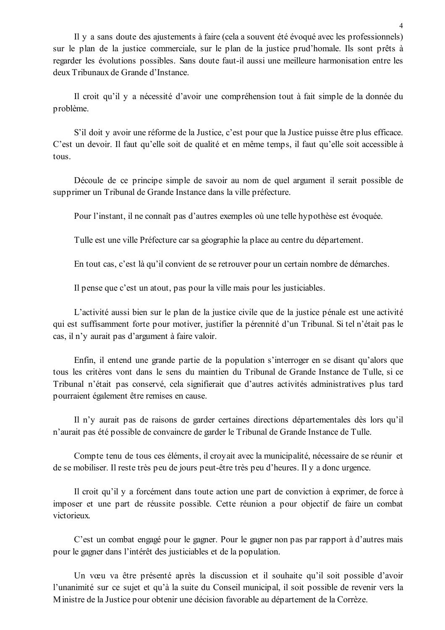Il y a sans doute des ajustements à faire (cela a souvent été évoqué avec les professionnels) sur le plan de la justice commerciale, sur le plan de la justice prud'homale. Ils sont prêts à regarder les évolutions possibles. Sans doute faut-il aussi une meilleure harmonisation entre les deux Tribunaux de Grande d'Instance.

Il croit qu'il y a nécessité d'avoir une compréhension tout à fait simple de la donnée du problème.

S'il doit y avoir une réforme de la Justice, c'est pour que la Justice puisse être plus efficace. C'est un devoir. Il faut qu'elle soit de qualité et en même temps, il faut qu'elle soit accessible à tous.

Découle de ce principe simple de savoir au nom de quel argument il serait possible de supprimer un Tribunal de Grande Instance dans la ville préfecture.

Pour l'instant, il ne connaît pas d'autres exemples où une telle hypothèse est évoquée.

Tulle est une ville Préfecture car sa géographie la place au centre du département.

En tout cas, c'est là qu'il convient de se retrouver pour un certain nombre de démarches.

Il pense que c'est un atout, pas pour la ville mais pour les justiciables.

L'activité aussi bien sur le plan de la justice civile que de la justice pénale est une activité qui est suffisamment forte pour motiver, justifier la pérennité d'un Tribunal. Si tel n'était pas le cas, il n'y aurait pas d'argument à faire valoir.

Enfin, il entend une grande partie de la population s'interroger en se disant qu'alors que tous les critères vont dans le sens du maintien du Tribunal de Grande Instance de Tulle, si ce Tribunal n'était pas conservé, cela signifierait que d'autres activités administratives plus tard pourraient également être remises en cause.

Il n'y aurait pas de raisons de garder certaines directions départementales dès lors qu'il n'aurait pas été possible de convaincre de garder le Tribunal de Grande Instance de Tulle.

Compte tenu de tous ces éléments, il croyait avec la municipalité, nécessaire de se réunir et de se mobiliser. Il reste très peu de jours peut-être très peu d'heures. Il y a donc urgence.

Il croit qu'il y a forcément dans toute action une part de conviction à exprimer, de force à imposer et une part de réussite possible. Cette réunion a pour objectif de faire un combat victorieux

C'est un combat engagé pour le gagner. Pour le gagner non pas par rapport à d'autres mais pour le gagner dans l'intérêt des justiciables et de la population.

Un vœu va être présenté après la discussion et il souhaite qu'il soit possible d'avoir l'unanimité sur ce suiet et qu'à la suite du Conseil municipal, il soit possible de revenir vers la Ministre de la Justice pour obtenir une décision favorable au département de la Corrèze.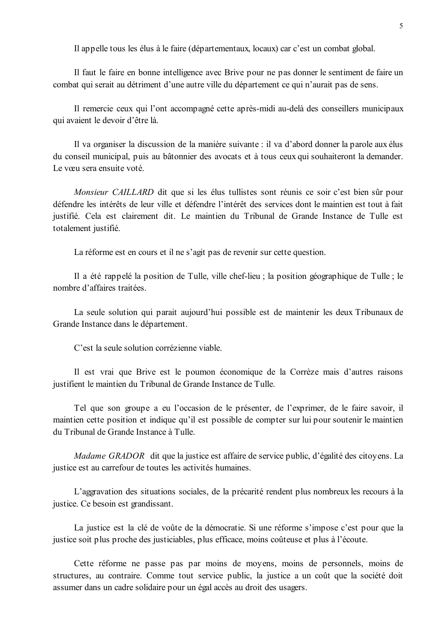Il appelle tous les élus à le faire (départementaux, locaux) car c'est un combat global.

Il faut le faire en bonne intelligence avec Brive pour ne pas donner le sentiment de faire un combat qui serait au détriment d'une autre ville du département ce qui n'aurait pas de sens.

Il remercie ceux qui l'ont accompagné cette après-midi au-delà des conseillers municipaux qui avaient le devoir d'être là.

Il va organiser la discussion de la manière suivante : il va d'abord donner la parole aux élus du conseil municipal, puis au bâtonnier des avocats et à tous ceux qui souhaiteront la demander. Le vœu sera ensuite voté

Monsieur CAILLARD dit que si les élus tullistes sont réunis ce soir c'est bien sûr pour défendre les intérêts de leur ville et défendre l'intérêt des services dont le maintien est tout à fait justifié. Cela est clairement dit. Le maintien du Tribunal de Grande Instance de Tulle est totalement justifié.

La réforme est en cours et il ne s'agit pas de revenir sur cette question.

Il a été rappelé la position de Tulle, ville chef-lieu ; la position géographique de Tulle ; le nombre d'affaires traitées

La seule solution qui parait aujourd'hui possible est de maintenir les deux Tribunaux de Grande Instance dans le département.

C'est la seule solution corrézienne viable.

Il est vrai que Brive est le poumon économique de la Corrèze mais d'autres raisons justifient le maintien du Tribunal de Grande Instance de Tulle.

Tel que son groupe a eu l'occasion de le présenter, de l'exprimer, de le faire savoir, il maintien cette position et indique qu'il est possible de compter sur lui pour soutenir le maintien du Tribunal de Grande Instance à Tulle

*Madame GRADOR* dit que la justice est affaire de service public, d'égalité des citoyens. La justice est au carrefour de toutes les activités humaines.

L'aggravation des situations sociales, de la précarité rendent plus nombreux les recours à la justice. Ce besoin est grandissant.

La justice est la clé de voûte de la démocratie. Si une réforme s'impose c'est pour que la justice soit plus proche des justiciables, plus efficace, moins coûteuse et plus à l'écoute.

Cette réforme ne passe pas par moins de moyens, moins de personnels, moins de structures, au contraire. Comme tout service public, la justice a un coût que la société doit assumer dans un cadre solidaire pour un égal accès au droit des usagers.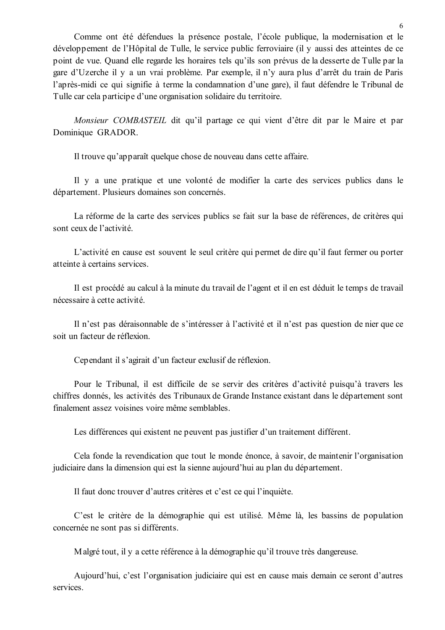Comme ont été défendues la présence postale, l'école publique, la modernisation et le développement de l'Hôpital de Tulle, le service public ferroviaire (il y aussi des atteintes de ce point de vue. Quand elle regarde les horaires tels qu'ils son prévus de la desserte de Tulle par la gare d'Uzerche il y a un vrai problème. Par exemple, il n'y aura plus d'arrêt du train de Paris l'après-midi ce qui signifie à terme la condamnation d'une gare), il faut défendre le Tribunal de Tulle car cela participe d'une organisation solidaire du territoire.

Monsieur COMBASTEIL dit qu'il partage ce qui vient d'être dit par le Maire et par Dominique GRADOR.

Il trouve qu'apparaît quelque chose de nouveau dans cette affaire.

Il y a une pratique et une volonté de modifier la carte des services publics dans le département. Plusieurs domaines son concernés.

La réforme de la carte des services publics se fait sur la base de références, de critères qui sont ceux de l'activité.

L'activité en cause est souvent le seul critère qui permet de dire qu'il faut fermer ou porter atteinte à certains services.

Il est procédé au calcul à la minute du travail de l'agent et il en est déduit le temps de travail nécessaire à cette activité.

Il n'est pas déraisonnable de s'intéresser à l'activité et il n'est pas question de nier que ce soit un facteur de réflexion.

Cependant il s'agirait d'un facteur exclusif de réflexion.

Pour le Tribunal, il est difficile de se servir des critères d'activité puisqu'à travers les chiffres donnés, les activités des Tribunaux de Grande Instance existant dans le département sont finalement assez voisines voire même semblables.

Les différences qui existent ne peuvent pas justifier d'un traitement différent.

Cela fonde la revendication que tout le monde énonce, à savoir, de maintenir l'organisation judiciaire dans la dimension qui est la sienne aujourd'hui au plan du département.

Il faut donc trouver d'autres critères et c'est ce qui l'inquiète.

C'est le critère de la démographie qui est utilisé. Même là, les bassins de population concernée ne sont pas si différents.

Malgré tout, il y a cette référence à la démographie qu'il trouve très dangereuse.

Aujourd'hui, c'est l'organisation judiciaire qui est en cause mais demain ce seront d'autres services.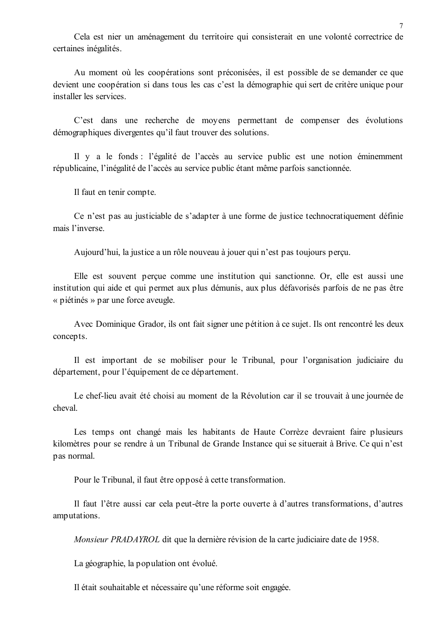Cela est nier un aménagement du territoire qui consisterait en une volonté correctrice de certaines inégalités.

Au moment où les coopérations sont préconisées, il est possible de se demander ce que devient une coopération si dans tous les cas c'est la démographie qui sert de critère unique pour installer les services

C'est dans une recherche de moyens permettant de compenser des évolutions démographiques divergentes qu'il faut trouver des solutions.

Il y a le fonds : l'égalité de l'accès au service public est une notion éminemment républicaine. l'inégalité de l'accès au service public étant même parfois sanctionnée.

Il faut en tenir compte.

Ce n'est pas au justiciable de s'adapter à une forme de justice technocratiquement définie mais l'inverse.

Aujourd'hui, la justice a un rôle nouveau à jouer qui n'est pas toujours perçu.

Elle est souvent percue comme une institution qui sanctionne. Or, elle est aussi une institution qui aide et qui permet aux plus démunis, aux plus défavorisés parfois de ne pas être « piétinés » par une force aveugle.

Avec Dominique Grador, ils ont fait signer une pétition à ce sujet. Ils ont rencontré les deux concepts.

Il est important de se mobiliser pour le Tribunal, pour l'organisation judiciaire du département, pour l'équipement de ce département.

Le chef-lieu avait été choisi au moment de la Révolution car il se trouvait à une journée de cheval

Les temps ont changé mais les habitants de Haute Corrèze devraient faire plusieurs kilomètres pour se rendre à un Tribunal de Grande Instance qui se situerait à Brive. Ce qui n'est pas normal.

Pour le Tribunal, il faut être opposé à cette transformation.

Il faut l'être aussi car cela peut-être la porte ouverte à d'autres transformations, d'autres amputations.

Monsieur PRADAYROL dit que la dernière révision de la carte judiciaire date de 1958.

La géographie, la population ont évolué.

Il était souhaitable et nécessaire qu'une réforme soit engagée.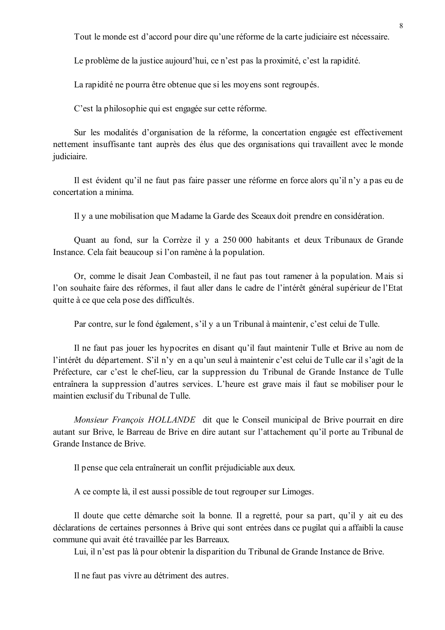Tout le monde est d'accord pour dire qu'une réforme de la carte judiciaire est nécessaire.

Le problème de la justice aujourd'hui, ce n'est pas la proximité, c'est la rapidité.

La rapidité ne pourra être obtenue que si les moyens sont regroupés.

C'est la philosophie qui est engagée sur cette réforme.

Sur les modalités d'organisation de la réforme, la concertation engagée est effectivement nettement insuffisante tant auprès des élus que des organisations qui travaillent avec le monde judiciaire.

Il est évident qu'il ne faut pas faire passer une réforme en force alors qu'il n'y a pas eu de concertation a minima.

Il y a une mobilisation que Madame la Garde des Sceaux doit prendre en considération.

Quant au fond, sur la Corrèze il y a 250 000 habitants et deux Tribunaux de Grande Instance. Cela fait beaucoup si l'on ramène à la population.

Or, comme le disait Jean Combasteil, il ne faut pas tout ramener à la population. Mais si l'on souhaite faire des réformes, il faut aller dans le cadre de l'intérêt général supérieur de l'Etat quitte à ce que cela pose des difficultés.

Par contre, sur le fond également, s'il y a un Tribunal à maintenir, c'est celui de Tulle.

Il ne faut pas jouer les hypocrites en disant qu'il faut maintenir Tulle et Brive au nom de l'intérêt du département. S'il n'y en a qu'un seul à maintenir c'est celui de Tulle car il s'agit de la Préfecture, car c'est le chef-lieu, car la suppression du Tribunal de Grande Instance de Tulle entraînera la suppression d'autres services. L'heure est grave mais il faut se mobiliser pour le maintien exclusif du Tribunal de Tulle.

Monsieur François HOLLANDE dit que le Conseil municipal de Brive pourrait en dire autant sur Brive, le Barreau de Brive en dire autant sur l'attachement qu'il porte au Tribunal de Grande Instance de Brive

Il pense que cela entraînerait un conflit préjudiciable aux deux.

A ce compte là, il est aussi possible de tout regrouper sur Limoges.

Il doute que cette démarche soit la bonne. Il a regretté, pour sa part, qu'il y ait eu des déclarations de certaines personnes à Brive qui sont entrées dans ce pugilat qui a affaibli la cause commune qui avait été travaillée par les Barreaux.

Lui, il n'est pas là pour obtenir la disparition du Tribunal de Grande Instance de Brive.

Il ne faut pas vivre au détriment des autres.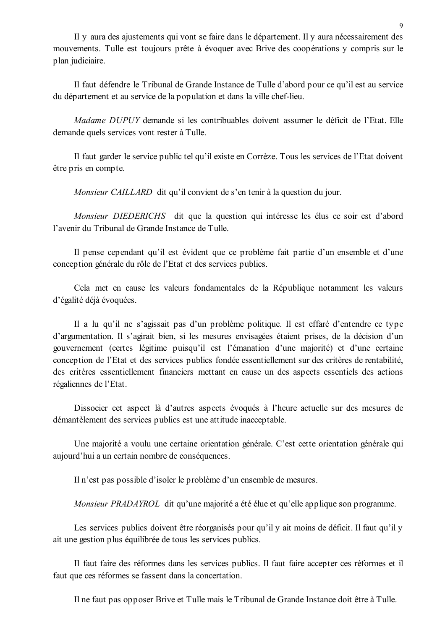Il y aura des ajustements qui vont se faire dans le département. Il y aura nécessairement des mouvements. Tulle est toujours prête à évoquer avec Brive des coopérations y compris sur le plan judiciaire.

Il faut défendre le Tribunal de Grande Instance de Tulle d'abord pour ce qu'il est au service du département et au service de la population et dans la ville chef-lieu.

Madame DUPUY demande si les contribuables doivent assumer le déficit de l'Etat. Elle demande quels services vont rester à Tulle.

Il faut garder le service public tel qu'il existe en Corrèze. Tous les services de l'Etat doivent être pris en compte.

*Monsieur CAILLARD* dit qu'il convient de s'en tenir à la question du jour.

Monsieur DIEDERICHS dit que la question qui intéresse les élus ce soir est d'abord l'avenir du Tribunal de Grande Instance de Tulle.

Il pense cependant qu'il est évident que ce problème fait partie d'un ensemble et d'une conception générale du rôle de l'Etat et des services publics.

Cela met en cause les valeurs fondamentales de la République notamment les valeurs d'égalité déjà évoquées.

Il a lu qu'il ne s'agissait pas d'un problème politique. Il est effaré d'entendre ce type d'argumentation. Il s'agirait bien, si les mesures envisagées étaient prises, de la décision d'un gouvernement (certes légitime puisqu'il est l'émanation d'une majorité) et d'une certaine conception de l'Etat et des services publics fondée essentiellement sur des critères de rentabilité. des critères essentiellement financiers mettant en cause un des aspects essentiels des actions régaliennes de l'Etat.

Dissocier cet aspect là d'autres aspects évoqués à l'heure actuelle sur des mesures de démantèlement des services publics est une attitude inacceptable.

Une majorité a voulu une certaine orientation générale. C'est cette orientation générale qui aujourd'hui a un certain nombre de conséquences.

Il n'est pas possible d'isoler le problème d'un ensemble de mesures.

*Monsieur PRADAYROL* dit qu'une majorité a été élue et qu'elle applique son programme.

Les services publics doivent être réorganisés pour qu'il y ait moins de déficit. Il faut qu'il y ait une gestion plus équilibrée de tous les services publics.

Il faut faire des réformes dans les services publics. Il faut faire accepter ces réformes et il faut que ces réformes se fassent dans la concertation.

Il ne faut pas opposer Brive et Tulle mais le Tribunal de Grande Instance doit être à Tulle.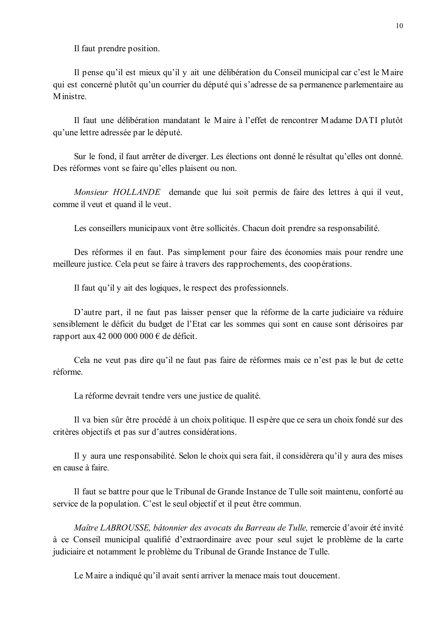Il faut prendre position.

Il pense qu'il est mieux qu'il y ait une délibération du Conseil municipal car c'est le Maire qui est concerné plutôt qu'un courrier du député qui s'adresse de sa permanence parlementaire au Ministre

Il faut une délibération mandatant le Maire à l'effet de rencontrer Madame DATI plutôt qu'une lettre adressée par le député.

Sur le fond, il faut arrêter de diverger. Les élections ont donné le résultat qu'elles ont donné. Des réformes vont se faire qu'elles plaisent ou non.

Monsieur HOLLANDE demande que lui soit permis de faire des lettres à qui il veut, comme il yeut et quand il le yeut.

Les conseillers municipaux vont être sollicités. Chacun doit prendre sa responsabilité.

Des réformes il en faut. Pas simplement pour faire des économies mais pour rendre une meilleure justice. Cela peut se faire à travers des rapprochements, des coopérations.

Il faut qu'il y ait des logiques, le respect des professionnels.

D'autre part, il ne faut pas laisser penser que la réforme de la carte judiciaire va réduire sensiblement le déficit du budget de l'Etat car les sommes qui sont en cause sont dérisoires par rapport aux 42 000 000 000 € de déficit.

Cela ne veut pas dire qu'il ne faut pas faire de réformes mais ce n'est pas le but de cette réforme.

La réforme devrait tendre vers une justice de qualité.

Il va bien sûr être procédé à un choix politique. Il espère que ce sera un choix fondé sur des critères objectifs et pas sur d'autres considérations.

Il y aura une responsabilité. Selon le choix qui sera fait, il considèrera qu'il y aura des mises en cause à faire.

Il faut se battre pour que le Tribunal de Grande Instance de Tulle soit maintenu, conforté au service de la population. C'est le seul objectif et il peut être commun.

Maître LABROUSSE, bâtonnier des avocats du Barreau de Tulle, remercie d'avoir été invité à ce Conseil municipal qualifié d'extraordinaire avec pour seul sujet le problème de la carte judiciaire et notamment le problème du Tribunal de Grande Instance de Tulle.

Le Maire a indiqué qu'il avait senti arriver la menace mais tout doucement.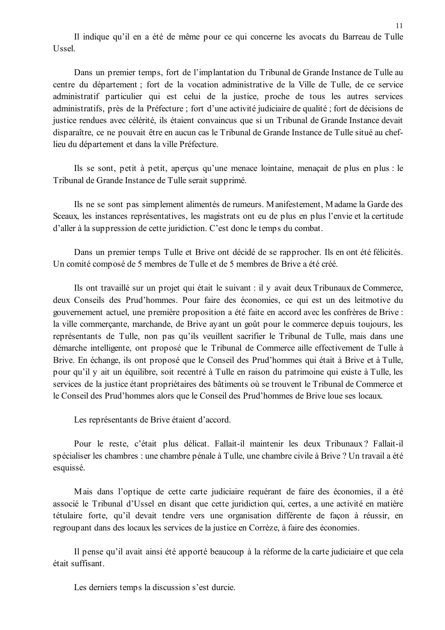Il indique qu'il en a été de même pour ce qui concerne les avocats du Barreau de Tulle Ussel.

Dans un premier temps, fort de l'implantation du Tribunal de Grande Instance de Tulle au centre du département ; fort de la vocation administrative de la Ville de Tulle, de ce service administratif particulier qui est celui de la justice, proche de tous les autres services administratifs, près de la Préfecture; fort d'une activité judiciaire de qualité; fort de décisions de justice rendues avec célérité, ils étaient convaincus que si un Tribunal de Grande Instance devait disparaître, ce ne pouvait être en aucun cas le Tribunal de Grande Instance de Tulle situé au cheflieu du département et dans la ville Préfecture.

Ils se sont, petit à petit, apercus qu'une menace lointaine, menacait de plus en plus : le Tribunal de Grande Instance de Tulle serait supprimé.

Ils ne se sont pas simplement alimentés de rumeurs. Manifestement, Madame la Garde des Sceaux, les instances représentatives, les magistrats ont eu de plus en plus l'envie et la certitude d'aller à la suppression de cette juridiction. C'est donc le temps du combat.

Dans un premier temps Tulle et Brive ont décidé de se rapprocher. Ils en ont été félicités. Un comité composé de 5 membres de Tulle et de 5 membres de Brive a été créé.

Ils ont travaillé sur un projet qui était le suivant : il y avait deux Tribunaux de Commerce, deux Conseils des Prud'hommes. Pour faire des économies, ce qui est un des leitmotive du gouvernement actuel, une première proposition a été faite en accord avec les confrères de Brive : la ville commercante, marchande, de Brive avant un goût pour le commerce depuis toujours, les représentants de Tulle, non pas qu'ils veuillent sacrifier le Tribunal de Tulle, mais dans une démarche intelligente, ont proposé que le Tribunal de Commerce aille effectivement de Tulle à Brive. En échange, ils ont proposé que le Conseil des Prud'hommes qui était à Brive et à Tulle, pour qu'il y ait un équilibre, soit recentré à Tulle en raison du patrimoine qui existe à Tulle, les services de la justice étant propriétaires des bâtiments où se trouvent le Tribunal de Commerce et le Conseil des Prud'hommes alors que le Conseil des Prud'hommes de Brive loue ses locaux.

Les représentants de Brive étaient d'accord.

Pour le reste, c'était plus délicat. Fallait-il maintenir les deux Tribunaux? Fallait-il spécialiser les chambres : une chambre pénale à Tulle, une chambre civile à Brive ? Un travail a été esquissé.

Mais dans l'optique de cette carte judiciaire requérant de faire des économies, il a été associé le Tribunal d'Ussel en disant que cette juridiction qui, certes, a une activité en matière tétulaire forte, qu'il devait tendre vers une organisation différente de façon à réussir, en regroupant dans des locaux les services de la justice en Corrèze, à faire des économies.

Il pense qu'il avait ainsi été apporté beaucoup à la réforme de la carte judiciaire et que cela était suffisant

Les derniers temps la discussion s'est durcie.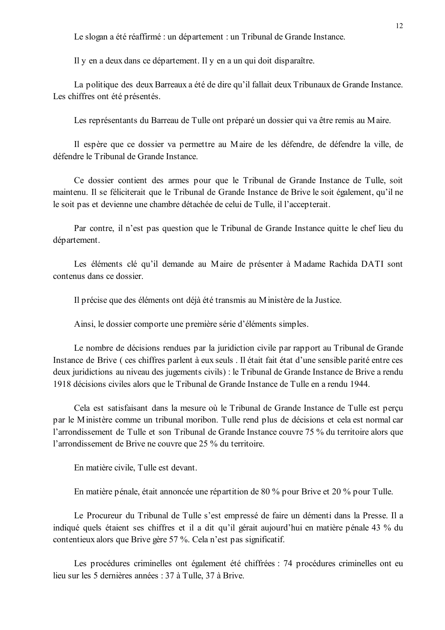Le slogan a été réaffirmé : un département : un Tribunal de Grande Instance.

Il y en a deux dans ce département. Il y en a un qui doit disparaître.

La politique des deux Barreaux a été de dire qu'il fallait deux Tribunaux de Grande Instance. Les chiffres ont été présentés.

Les représentants du Barreau de Tulle ont préparé un dossier qui va être remis au Maire.

Il espère que ce dossier va permettre au Maire de les défendre, de défendre la ville, de défendre le Tribunal de Grande Instance

Ce dossier contient des armes pour que le Tribunal de Grande Instance de Tulle, soit maintenu. Il se féliciterait que le Tribunal de Grande Instance de Brive le soit également, qu'il ne le soit pas et devienne une chambre détachée de celui de Tulle, il l'accepterait.

Par contre, il n'est pas question que le Tribunal de Grande Instance quitte le chef lieu du département.

Les éléments clé qu'il demande au Maire de présenter à Madame Rachida DATI sont contenus dans ce dossier

Il précise que des éléments ont déjà été transmis au Ministère de la Justice.

Ainsi, le dossier comporte une première série d'éléments simples.

Le nombre de décisions rendues par la juridiction civile par rapport au Tribunal de Grande Instance de Brive (ces chiffres parlent à eux seuls . Il était fait état d'une sensible parité entre ces deux juridictions au niveau des jugements civils) : le Tribunal de Grande Instance de Brive a rendu 1918 décisions civiles alors que le Tribunal de Grande Instance de Tulle en a rendu 1944.

Cela est satisfaisant dans la mesure où le Tribunal de Grande Instance de Tulle est perçu par le Ministère comme un tribunal moribon. Tulle rend plus de décisions et cela est normal car l'arrondissement de Tulle et son Tribunal de Grande Instance couvre 75 % du territoire alors que l'arrondissement de Brive ne couvre que 25 % du territoire.

En matière civile, Tulle est devant.

En matière pénale, était annoncée une répartition de 80 % pour Brive et 20 % pour Tulle.

Le Procureur du Tribunal de Tulle s'est empressé de faire un démenti dans la Presse. Il a indiqué quels étaient ses chiffres et il a dit qu'il gérait aujourd'hui en matière pénale 43 % du contentieux alors que Brive gère 57 %. Cela n'est pas significatif.

Les procédures criminelles ont également été chiffrées : 74 procédures criminelles ont eu lieu sur les 5 dernières années : 37 à Tulle, 37 à Brive.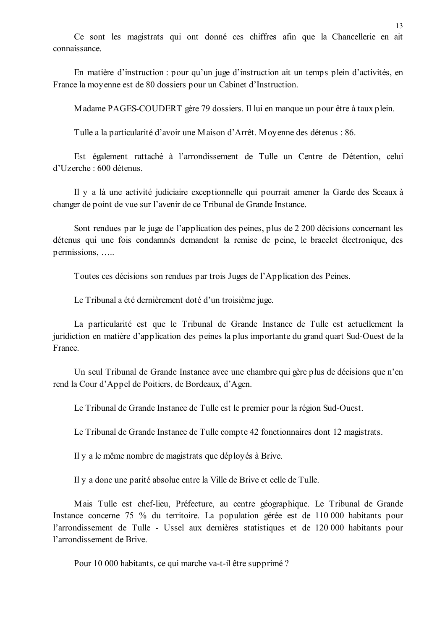Ce sont les magistrats qui ont donné ces chiffres afin que la Chancellerie en ait connaissance

En matière d'instruction : pour qu'un juge d'instruction ait un temps plein d'activités, en France la moyenne est de 80 dossiers pour un Cabinet d'Instruction.

Madame PAGES-COUDERT gère 79 dossiers. Il lui en manque un pour être à taux plein.

Tulle a la particularité d'avoir une Maison d'Arrêt. Moyenne des détenus : 86.

Est également rattaché à l'arrondissement de Tulle un Centre de Détention, celui  $d'U$ zerche  $\cdot$  600 détenus

Il y a là une activité judiciaire exceptionnelle qui pourrait amener la Garde des Sceaux à changer de point de vue sur l'avenir de ce Tribunal de Grande Instance.

Sont rendues par le juge de l'application des peines, plus de 2 200 décisions concernant les détenus qui une fois condamnés demandent la remise de peine, le bracelet électronique, des permissions.....

Toutes ces décisions son rendues par trois Juges de l'Application des Peines.

Le Tribunal a été dernièrement doté d'un troisième juge.

La particularité est que le Tribunal de Grande Instance de Tulle est actuellement la juridiction en matière d'application des peines la plus importante du grand quart Sud-Ouest de la France.

Un seul Tribunal de Grande Instance avec une chambre qui gère plus de décisions que n'en rend la Cour d'Appel de Poitiers, de Bordeaux, d'Agen.

Le Tribunal de Grande Instance de Tulle est le premier pour la région Sud-Ouest.

Le Tribunal de Grande Instance de Tulle compte 42 fonctionnaires dont 12 magistrats.

Il y a le même nombre de magistrats que déployés à Brive.

Il y a donc une parité absolue entre la Ville de Brive et celle de Tulle.

Mais Tulle est chef-lieu. Préfecture, au centre géographique. Le Tribunal de Grande Instance concerne 75 % du territoire. La population gérée est de 110 000 habitants pour l'arrondissement de Tulle - Ussel aux dernières statistiques et de 120 000 habitants pour l'arrondissement de Brive.

Pour 10 000 habitants, ce qui marche va-t-il être supprimé ?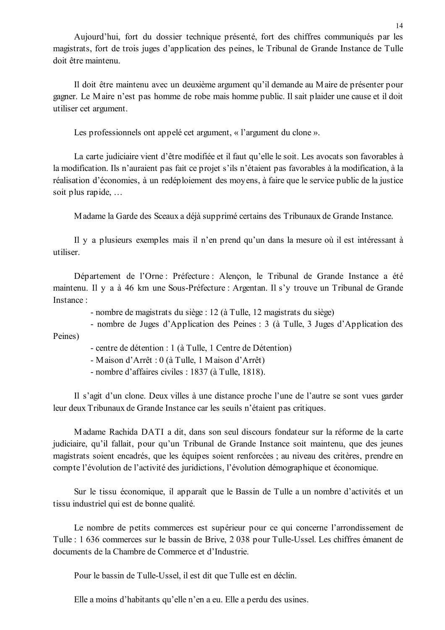Aujourd'hui, fort du dossier technique présenté, fort des chiffres communiqués par les magistrats, fort de trois juges d'application des peines, le Tribunal de Grande Instance de Tulle doit être maintenu

Il doit être maintenu avec un deuxième argument qu'il demande au Maire de présenter pour gagner. Le Maire n'est pas homme de robe mais homme public. Il sait plaider une cause et il doit utiliser cet argument.

Les professionnels ont appelé cet argument, « l'argument du clone ».

La carte judiciaire vient d'être modifiée et il faut qu'elle le soit. Les avocats son favorables à la modification. Ils n'auraient pas fait ce projet s'ils n'étaient pas favorables à la modification, à la réalisation d'économies, à un redéploiement des moyens, à faire que le service public de la justice soit plus rapide, ...

Madame la Garde des Sceaux a déjà supprimé certains des Tribunaux de Grande Instance.

Il y a plusieurs exemples mais il n'en prend qu'un dans la mesure où il est intéressant à utiliser

Département de l'Orne : Préfecture : Alençon, le Tribunal de Grande Instance a été maintenu. Il y a à 46 km une Sous-Préfecture : Argentan. Il s'y trouve un Tribunal de Grande Instance ·

- nombre de magistrats du siège : 12 (à Tulle, 12 magistrats du siège)

- nombre de Juges d'Application des Peines : 3 (à Tulle, 3 Juges d'Application des Peines)

- centre de détention : 1 (à Tulle, 1 Centre de Détention)

- Maison d'Arrêt : 0 (à Tulle, 1 Maison d'Arrêt)

- nombre d'affaires civiles : 1837 (à Tulle, 1818).

Il s'agit d'un clone. Deux villes à une distance proche l'une de l'autre se sont vues garder leur deux Tribunaux de Grande Instance car les seuils n'étaient pas critiques.

Madame Rachida DATI a dit, dans son seul discours fondateur sur la réforme de la carte judiciaire, qu'il fallait, pour qu'un Tribunal de Grande Instance soit maintenu, que des jeunes magistrats soient encadrés, que les équipes soient renforcées ; au niveau des critères, prendre en compte l'évolution de l'activité des juridictions, l'évolution démographique et économique.

Sur le tissu économique, il apparaît que le Bassin de Tulle a un nombre d'activités et un tissu industriel qui est de bonne qualité.

Le nombre de petits commerces est supérieur pour ce qui concerne l'arrondissement de Tulle : 1 636 commerces sur le bassin de Brive, 2 038 pour Tulle-Ussel. Les chiffres émanent de documents de la Chambre de Commerce et d'Industrie

Pour le bassin de Tulle-Ussel, il est dit que Tulle est en déclin.

Elle a moins d'habitants qu'elle n'en a eu. Elle a perdu des usines.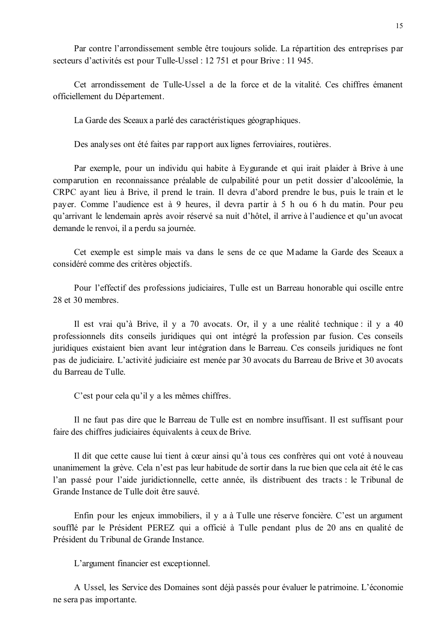Par contre l'arrondissement semble être toujours solide. La répartition des entreprises par secteurs d'activités est pour Tulle-Ussel : 12 751 et pour Brive : 11 945.

Cet arrondissement de Tulle-Ussel a de la force et de la vitalité. Ces chiffres émanent officiellement du Département.

La Garde des Sceaux a parlé des caractéristiques géographiques.

Des analyses ont été faites par rapport aux lignes ferroviaires, routières.

Par exemple, pour un individu qui habite à Eveurande et qui irait plaider à Brive à une comparution en reconnaissance préalable de culpabilité pour un petit dossier d'alcoolémie, la CRPC ayant lieu à Brive, il prend le train. Il devra d'abord prendre le bus, puis le train et le payer. Comme l'audience est à 9 heures, il devra partir à 5 h ou 6 h du matin. Pour peu qu'arrivant le lendemain après avoir réservé sa nuit d'hôtel, il arrive à l'audience et qu'un avocat demande le renvoi, il a perdu sa journée.

Cet exemple est simple mais va dans le sens de ce que Madame la Garde des Sceaux a considéré comme des critères objectifs.

Pour l'effectif des professions judiciaires, Tulle est un Barreau honorable qui oscille entre 28 et 30 membres

Il est vrai qu'à Brive, il y a 70 avocats. Or, il y a une réalité technique : il y a 40 professionnels dits conseils juridiques qui ont intégré la profession par fusion. Ces conseils juridiques existaient bien avant leur intégration dans le Barreau. Ces conseils juridiques ne font pas de judiciaire. L'activité judiciaire est menée par 30 avocats du Barreau de Brive et 30 avocats du Barreau de Tulle.

C'est pour cela qu'il y a les mêmes chiffres.

Il ne faut pas dire que le Barreau de Tulle est en nombre insuffisant. Il est suffisant pour faire des chiffres judiciaires équivalents à ceux de Brive.

Il dit que cette cause lui tient à cœur ainsi qu'à tous ces confrères qui ont voté à nouveau unanimement la grève. Cela n'est pas leur habitude de sortir dans la rue bien que cela ait été le cas l'an passé pour l'aide juridictionnelle, cette année, ils distribuent des tracts : le Tribunal de Grande Instance de Tulle doit être sauvé.

Enfin pour les enjeux immobiliers, il y a à Tulle une réserve foncière. C'est un argument soufflé par le Président PEREZ qui a officié à Tulle pendant plus de 20 ans en qualité de Président du Tribunal de Grande Instance.

L'argument financier est exceptionnel.

A Ussel, les Service des Domaines sont déjà passés pour évaluer le patrimoine. L'économie ne sera pas importante.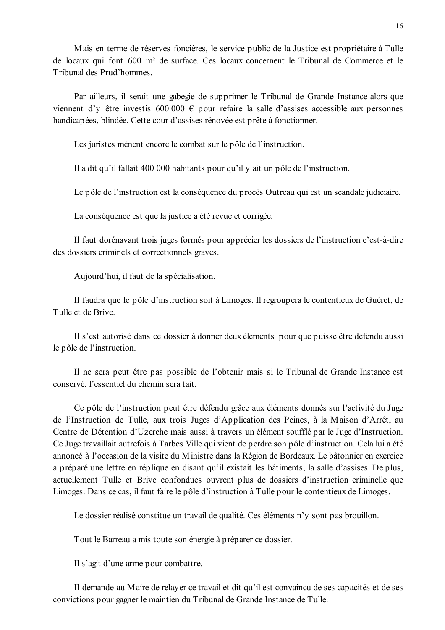Mais en terme de réserves foncières, le service public de la Justice est propriétaire à Tulle de locaux qui font 600 m<sup>2</sup> de surface. Ces locaux concernent le Tribunal de Commerce et le Tribunal des Prud'hommes.

Par ailleurs, il serait une gabegie de supprimer le Tribunal de Grande Instance alors que viennent d'y être investis 600 000  $\epsilon$  pour refaire la salle d'assises accessible aux personnes handicapées, blindée. Cette cour d'assises rénovée est prête à fonctionner.

Les juristes mènent encore le combat sur le pôle de l'instruction.

Il a dit qu'il fallait 400 000 habitants pour qu'il y ait un pôle de l'instruction.

Le pôle de l'instruction est la conséquence du procès Outreau qui est un scandale judiciaire.

La conséquence est que la justice a été revue et corrigée.

Il faut dorénavant trois juges formés pour apprécier les dossiers de l'instruction c'est-à-dire des dossiers criminels et correctionnels graves.

Aujourd'hui, il faut de la spécialisation.

Il faudra que le pôle d'instruction soit à Limoges. Il regroupera le contentieux de Guéret, de Tulle et de Brive.

Il s'est autorisé dans ce dossier à donner deux éléments pour que puisse être défendu aussi le pôle de l'instruction.

Il ne sera peut être pas possible de l'obtenir mais si le Tribunal de Grande Instance est conservé. l'essentiel du chemin sera fait.

Ce pôle de l'instruction peut être défendu grâce aux éléments donnés sur l'activité du Juge de l'Instruction de Tulle, aux trois Juges d'Application des Peines, à la Maison d'Arrêt, au Centre de Détention d'Uzerche mais aussi à travers un élément soufflé par le Juge d'Instruction. Ce Juge travaillait autrefois à Tarbes Ville qui vient de perdre son pôle d'instruction. Cela lui a été annoncé à l'occasion de la visite du Ministre dans la Région de Bordeaux. Le bâtonnier en exercice a préparé une lettre en réplique en disant qu'il existait les bâtiments, la salle d'assises. De plus, actuellement Tulle et Brive confondues ouvrent plus de dossiers d'instruction criminelle que Limoges. Dans ce cas, il faut faire le pôle d'instruction à Tulle pour le contentieux de Limoges.

Le dossier réalisé constitue un travail de qualité. Ces éléments n'y sont pas brouillon.

Tout le Barreau a mis toute son énergie à préparer ce dossier.

Il s'agit d'une arme pour combattre.

Il demande au Maire de relayer ce travail et dit qu'il est convaincu de ses capacités et de ses convictions pour gagner le maintien du Tribunal de Grande Instance de Tulle.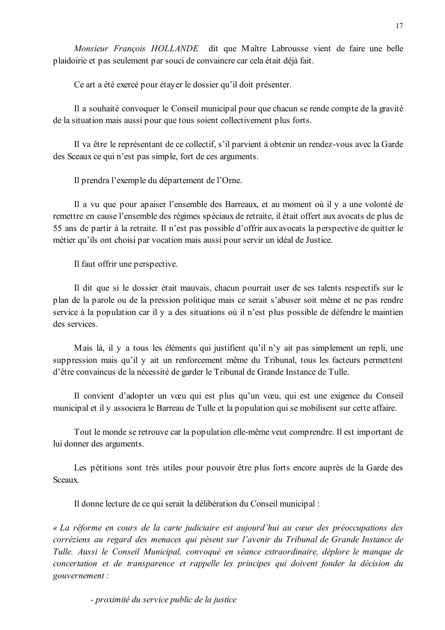Monsieur Francois HOLLANDE dit que Maître Labrousse vient de faire une belle plaidoirie et pas seulement par souci de convaincre car cela était déjà fait.

Ce art a été exercé pour étayer le dossier qu'il doit présenter.

Il a souhaité convoquer le Conseil municipal pour que chacun se rende compte de la gravité de la situation mais aussi pour que tous soient collectivement plus forts.

Il va être le représentant de ce collectif, s'il parvient à obtenir un rendez-vous avec la Garde des Sceaux ce qui n'est pas simple, fort de ces arguments.

Il prendra l'exemple du département de l'Orne.

Il a vu que pour apaiser l'ensemble des Barreaux, et au moment où il y a une volonté de remettre en cause l'ensemble des régimes spéciaux de retraite, il était offert aux avocats de plus de 55 ans de partir à la retraite. Il n'est pas possible d'offrir aux avocats la perspective de quitter le métier qu'ils ont choisi par vocation mais aussi pour servir un idéal de Justice.

Il faut offrir une perspective.

Il dit que si le dossier était mauvais, chacun pourrait user de ses talents respectifs sur le plan de la parole ou de la pression politique mais ce serait s'abuser soit même et ne pas rendre service à la population car il y a des situations où il n'est plus possible de défendre le maintien des services.

Mais là, il y a tous les éléments qui justifient qu'il n'y ait pas simplement un repli, une suppression mais qu'il y ait un renforcement même du Tribunal, tous les facteurs permettent d'être convaincus de la nécessité de garder le Tribunal de Grande Instance de Tulle.

Il convient d'adopter un vœu qui est plus qu'un vœu, qui est une exigence du Conseil municipal et il y associera le Barreau de Tulle et la population qui se mobilisent sur cette affaire.

Tout le monde se retrouve car la population elle-même veut comprendre. Il est important de lui donner des arguments.

Les pétitions sont très utiles pour pouvoir être plus forts encore auprès de la Garde des Sceaux

Il donne lecture de ce qui serait la délibération du Conseil municipal :

« La réforme en cours de la carte judiciaire est aujourd'hui au cœur des préoccupations des corréziens au regard des menaces qui pèsent sur l'avenir du Tribunal de Grande Instance de Tulle. Aussi le Conseil Municipal, convoqué en séance extraordinaire, déplore le manque de concertation et de transparence et rappelle les principes qui doivent fonder la décision du gouvernement:

- proximité du service public de la justice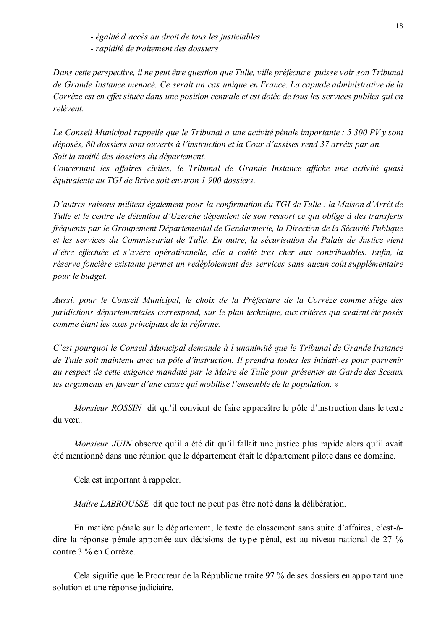- égalité d'accès au droit de tous les justiciables

- rapidité de traitement des dossiers

Dans cette perspective, il ne peut être question que Tulle, ville préfecture, puisse voir son Tribunal de Grande Instance menacé. Ce serait un cas unique en France. La capitale administrative de la Corrèze est en effet située dans une position centrale et est dotée de tous les services publics qui en relèvent.

Le Conseil Municipal rappelle que le Tribunal a une activité pénale importante : 5 300 PV y sont déposés, 80 dossiers sont ouverts à l'instruction et la Cour d'assises rend 37 arrêts par an. Soit la moitié des dossiers du département.

Concernant les affaires civiles, le Tribunal de Grande Instance affiche une activité quasi équivalente au TGI de Brive soit environ 1 900 dossiers.

D'autres raisons militent également pour la confirmation du TGI de Tulle : la Maison d'Arrêt de Tulle et le centre de détention d'Uzerche dépendent de son ressort ce qui oblige à des transferts fréquents par le Groupement Départemental de Gendarmerie, la Direction de la Sécurité Publique et les services du Commissariat de Tulle. En outre, la sécurisation du Palais de Justice vient d'être effectuée et s'avère opérationnelle, elle a coûté très cher aux contribuables. Enfin, la réserve foncière existante permet un redéploiement des services sans aucun coût supplémentaire pour le budget.

Aussi, pour le Conseil Municipal, le choix de la Préfecture de la Corrèze comme siège des juridictions départementales correspond, sur le plan technique, aux critères qui avaient été posés comme étant les axes principaux de la réforme.

C'est pourquoi le Conseil Municipal demande à l'unanimité que le Tribunal de Grande Instance de Tulle soit maintenu avec un pôle d'instruction. Il prendra toutes les initiatives pour parvenir au respect de cette exigence mandaté par le Maire de Tulle pour présenter au Garde des Sceaux les arguments en faveur d'une cause qui mobilise l'ensemble de la population. »

Monsieur ROSSIN dit qu'il convient de faire apparaître le pôle d'instruction dans le texte du vœu.

Monsieur JUIN observe qu'il a été dit qu'il fallait une justice plus rapide alors qu'il avait été mentionné dans une réunion que le département était le département pilote dans ce domaine.

Cela est important à rappeler.

Maître LABROUSSE dit que tout ne peut pas être noté dans la délibération.

En matière pénale sur le département, le texte de classement sans suite d'affaires, c'est-àdire la réponse pénale apportée aux décisions de type pénal, est au niveau national de 27 % contre 3 % en Corrèze.

Cela signifie que le Procureur de la République traite 97 % de ses dossiers en apportant une solution et une réponse judiciaire.